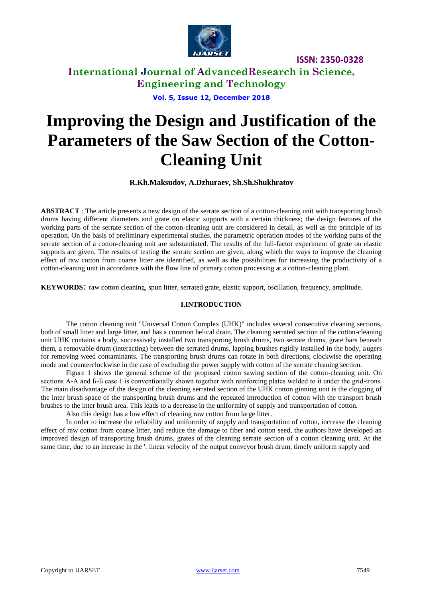

## **International Journal of AdvancedResearch in Science, Engineering and Technology**

**Vol. 5, Issue 12, December 2018**

# **Improving the Design and Justification of the Parameters of the Saw Section of the Cotton-Cleaning Unit**

**R.Kh.Maksudov, A.Dzhuraev, Sh.Sh.Shukhratov**

**ABSTRACT** : The article presents a new design of the serrate section of a cotton-cleaning unit with transporting brush drums having different diameters and grate on elastic supports with a certain thickness; the design features of the working parts of the serrate section of the cotton-cleaning unit are considered in detail, as well as the principle of its operation. On the basis of preliminary experimental studies, the parametric operation modes of the working parts of the serrate section of a cotton-cleaning unit are substantiated. The results of the full-factor experiment of grate on elastic supports are given. The results of testing the serrate section are given, along which the ways to improve the cleaning effect of raw cotton from coarse litter are identified, as well as the possibilities for increasing the productivity of a cotton-cleaning unit in accordance with the flow line of primary cotton processing at a cotton-cleaning plant.

**KEYWORDS***:* raw cotton cleaning, spun litter, serrated grate, elastic support, oscillation, frequency, amplitude.

### **I.INTRODUCTION**

The cotton cleaning unit "Universal Cotton Complex (UHK)" includes several consecutive cleaning sections, both of small litter and large litter, and has a common helical drain. The cleaning serrated section of the cotton-cleaning unit UHK contains a body, successively installed two transporting brush drums, two serrate drums, grate bars beneath them, a removable drum (interacting) between the serrated drums, lapping brushes rigidly installed in the body, augers for removing weed contaminants. The transporting brush drums can rotate in both directions, clockwise the operating mode and counterclockwise in the case of excluding the power supply with cotton of the serrate cleaning section.

Figure 1 shows the general scheme of the proposed cotton sawing section of the cotton-cleaning unit. On sections А-А and Б-Б case 1 is conventionally shown together with reinforcing plates welded to it under the grid-irons. The main disadvantage of the design of the cleaning serrated section of the UHK cotton ginning unit is the clogging of the inter brush space of the transporting brush drums and the repeated introduction of cotton with the transport brush brushes to the inter brush area. This leads to a decrease in the uniformity of supply and transportation of cotton.

Also this design has a low effect of cleaning raw cotton from large litter.

In order to increase the reliability and uniformity of supply and transportation of cotton, increase the cleaning effect of raw cotton from coarse litter, and reduce the damage to fiber and cotton seed, the authors have developed an improved design of transporting brush drums, grates of the cleaning serrate section of a cotton cleaning unit. At the same time, due to an increase in the ': linear velocity of the output conveyor brush drum, timely uniform supply and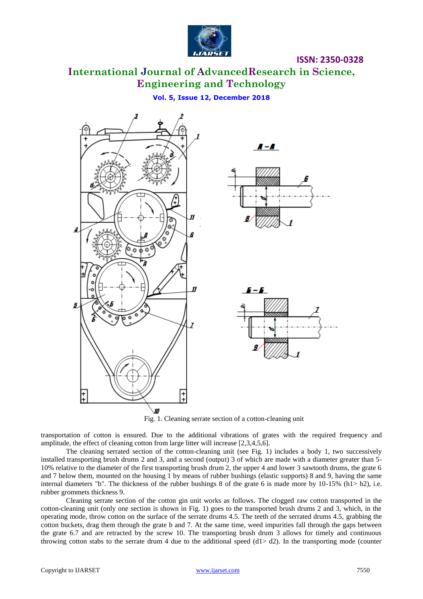

**International Journal of AdvancedResearch in Science, Engineering and Technology**

## **Vol. 5, Issue 12, December 2018**



transportation of cotton is ensured. Due to the additional vibrations of grates with the required frequency and amplitude, the effect of cleaning cotton from large litter will increase [2,3,4,5,6].

The cleaning serrated section of the cotton-cleaning unit (see Fig. 1) includes a body 1, two successively installed transporting brush drums 2 and 3, and a second (output) 3 of which are made with a diameter greater than 5- 10% relative to the diameter of the first transporting brush drum 2, the upper 4 and lower 3 sawtooth drums, the grate 6 and 7 below them, mounted on the housing 1 by means of rubber bushings (elastic supports) 8 and 9, having the same internal diameters "b". The thickness of the rubber bushings 8 of the grate 6 is made more by  $10-15\%$  (h1> h2), i.e. rubber grommets thickness 9.

Cleaning serrate section of the cotton gin unit works as follows. The clogged raw cotton transported in the cotton-cleaning unit (only one section is shown in Fig. 1) goes to the transported brush drums 2 and 3, which, in the operating mode, throw cotton on the surface of the serrate drums 4.5. The teeth of the serrated drums 4.5, grabbing the cotton buckets, drag them through the grate b and 7. At the same time, weed impurities fall through the gaps between the grate 6.7 and are retracted by the screw 10. The transporting brush drum 3 allows for timely and continuous throwing cotton stabs to the serrate drum 4 due to the additional speed  $(d1> d2)$ . In the transporting mode (counter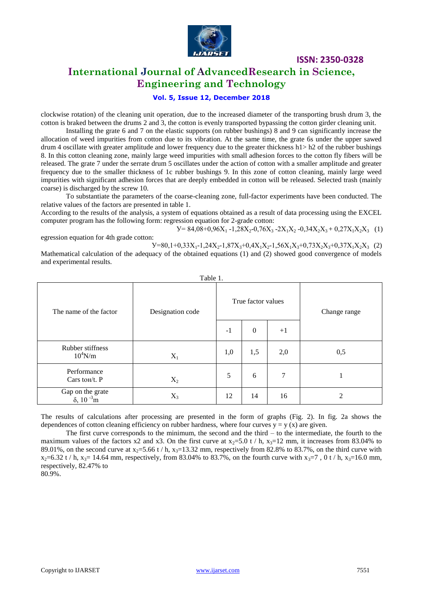

## **International Journal of AdvancedResearch in Science, Engineering and Technology**

#### **Vol. 5, Issue 12, December 2018**

clockwise rotation) of the cleaning unit operation, due to the increased diameter of the transporting brush drum 3, the cotton is braked between the drums 2 and 3, the cotton is evenly transported bypassing the cotton girder cleaning unit.

Installing the grate 6 and 7 on the elastic supports (on rubber bushings) 8 and 9 can significantly increase the allocation of weed impurities from cotton due to its vibration. At the same time, the grate 6s under the upper sawed drum 4 oscillate with greater amplitude and lower frequency due to the greater thickness h1> h2 of the rubber bushings 8. In this cotton cleaning zone, mainly large weed impurities with small adhesion forces to the cotton fly fibers will be released. The grate 7 under the serrate drum 5 oscillates under the action of cotton with a smaller amplitude and greater frequency due to the smaller thickness of 1c rubber bushings 9. In this zone of cotton cleaning, mainly large weed impurities with significant adhesion forces that are deeply embedded in cotton will be released. Selected trash (mainly coarse) is discharged by the screw 10.

To substantiate the parameters of the coarse-cleaning zone, full-factor experiments have been conducted. The relative values of the factors are presented in table 1.

According to the results of the analysis, a system of equations obtained as a result of data processing using the EXCEL computer program has the following form: regression equation for 2-grade cotton:

 $V= 84,08+0,96X_1 -1,28X_2 -0,76X_3 -2X_1X_2 -0,34X_2X_3 + 0,27X_1X_2X_3$  (1)

egression equation for 4th grade cotton:

 $V=80,1+0,33X_1-1,24X_2-1,87X_3+0,4X_1X_2-1,56X_1X_3+0,73X_2X_3+0,37X_1X_2X_3$  (2) Mathematical calculation of the adequacy of the obtained equations (1) and (2) showed good convergence of models and experimental results.

| Table 1.                                          |                  |                    |              |                |              |  |
|---------------------------------------------------|------------------|--------------------|--------------|----------------|--------------|--|
| The name of the factor                            | Designation code | True factor values |              |                | Change range |  |
|                                                   |                  | $-1$               | $\mathbf{0}$ | $+1$           |              |  |
| Rubber stiffness<br>$10^4$ N/m                    | $\mathbf{X}_1$   | 1,0                | 1,5          | 2,0            | 0,5          |  |
| Performance<br>Cars to H $/t$ . P                 | $X_2$            | 5                  | 6            | $\overline{7}$ |              |  |
| Gap on the grate<br>$\delta$ , 10 <sup>-3</sup> m | $X_3$            | 12                 | 14           | 16             | 2            |  |

The results of calculations after processing are presented in the form of graphs (Fig. 2). In fig. 2a shows the dependences of cotton cleaning efficiency on rubber hardness, where four curves  $y = y(x)$  are given.

The first curve corresponds to the minimum, the second and the third – to the intermediate, the fourth to the maximum values of the factors  $x^2$  and  $x^3$ . On the first curve at  $x^3=5.0$  t / h,  $x^3=12$  mm, it increases from 83.04% to 89.01%, on the second curve at  $x_2$ =5.66 t / h,  $x_3$ =13.32 mm, respectively from 82.8% to 83.7%, on the third curve with  $x_2=6.32$  t / h,  $x_3=14.64$  mm, respectively, from 83.04% to 83.7%, on the fourth curve with  $x_3=7$ , 0 t / h,  $x_3=16.0$  mm, respectively, 82.47% to

80.9%.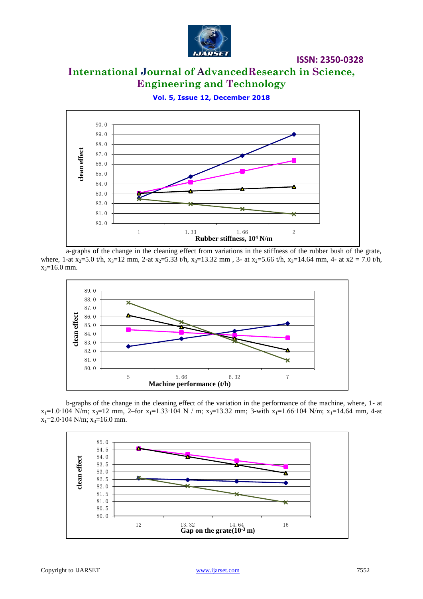

## **International Journal of AdvancedResearch in Science, Engineering and Technology**

90.0 89.0 88.0 **clean effect** 87.0 86.0 85.0 84.0 Ā 83.0 82.0 81.0 80.0 1.33 1.66 2 **Rubber stiffness, 10<sup>4</sup> N/m**

**Vol. 5, Issue 12, December 2018**

a-graphs of the change in the cleaning effect from variations in the stiffness of the rubber bush of the grate, where, 1-at  $x_2$ =5.0 t/h,  $x_3$ =12 mm, 2-at  $x_2$ =5.33 t/h,  $x_3$ =13.32 mm, 3- at  $x_2$ =5.66 t/h,  $x_3$ =14.64 mm, 4- at  $x_2$  = 7.0 t/h,  $x_3 = 16.0$  mm.



b-graphs of the change in the cleaning effect of the variation in the performance of the machine, where, 1- at  $x_1=1.0\cdot 104$  N/m;  $x_3=12$  mm, 2–for  $x_1=1.33\cdot 104$  N / m;  $x_3=13.32$  mm; 3-with  $x_1=1.66\cdot 104$  N/m;  $x_1=14.64$  mm, 4-at  $x_1=2.0$ ∙104 N/m;  $x_3=16.0$  mm.

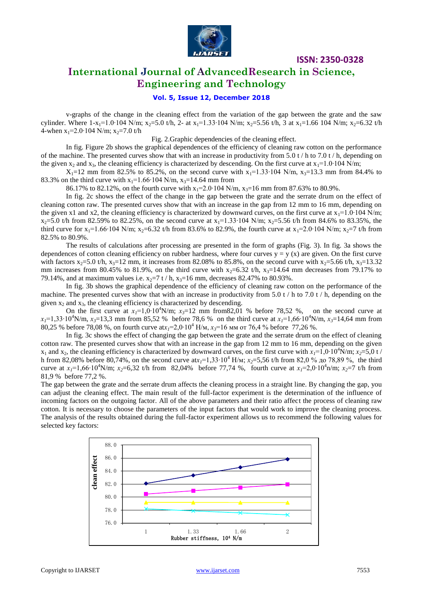

## **International Journal of AdvancedResearch in Science, Engineering and Technology**

### **Vol. 5, Issue 12, December 2018**

v-graphs of the change in the cleaning effect from the variation of the gap between the grate and the saw cylinder. Where  $1-x_1=1.0\cdot 104$  N/m; x<sub>2</sub>=5.0 t/h, 2- at x<sub>1</sub>=1.33⋅104 N/m; x<sub>2</sub>=5.56 t/h, 3 at x<sub>1</sub>=1.66 104 N/m; x<sub>2</sub>=6.32 t/h 4-when  $x_1$ =2.0⋅104 N/m;  $x_2$ =7.0 t/h

Fig. 2.Graphic dependencies of the cleaning effect.

In fig. Figure 2b shows the graphical dependences of the efficiency of cleaning raw cotton on the performance of the machine. The presented curves show that with an increase in productivity from 5.0 t / h to 7.0 t / h, depending on the given x<sub>2</sub> and x<sub>3</sub>, the cleaning efficiency is characterized by descending. On the first curve at x<sub>1</sub>=1.0⋅104 N/m;

 $X_1=12$  mm from 82.5% to 85.2%, on the second curve with  $x_1=1.33 \cdot 104$  N/m,  $x_3=13.3$  mm from 84.4% to 83.3% on the third curve with  $x_1=1.66 \cdot 104$  N/m,  $x_3=14.64$  mm from

86.17% to 82.12%, on the fourth curve with  $x_1=2.0~104$  N/m,  $x_3=16$  mm from 87.63% to 80.9%.

In fig. 2c shows the effect of the change in the gap between the grate and the serrate drum on the effect of cleaning cotton raw. The presented curves show that with an increase in the gap from 12 mm to 16 mm, depending on the given x1 and x2, the cleaning efficiency is characterized by downward curves, on the first curve at  $x_1$ =1.0⋅104 N/m;  $x_2$ =5.0 t/h from 82.59% to 82.25%, on the second curve at  $x_1$ =1.33⋅104 N/m;  $x_2$ =5.56 t/h from 84.6% to 83.35%, the third curve for x<sub>1</sub>=1.66⋅104 N/m; x<sub>2</sub>=6.32 t/h from 83.6% to 82.9%, the fourth curve at x<sub>1</sub>=2.0⋅104 N/m; x<sub>2</sub>=7 t/h from 82.5% to 80.9%.

The results of calculations after processing are presented in the form of graphs (Fig. 3). In fig. 3a shows the dependences of cotton cleaning efficiency on rubber hardness, where four curves  $y = y(x)$  are given. On the first curve with factors  $x_2$ =5.0 t/h,  $x_3$ =12 mm, it increases from 82.08% to 85.8%, on the second curve with  $x_2$ =5.66 t/h,  $x_3$ =13.32 mm increases from 80.45% to 81.9%, on the third curve with  $x_2=6.32$  t/h,  $x_3=14.64$  mm decreases from 79.17% to 79.14%, and at maximum values i.e.  $x_2=7$  t / h,  $x_3=16$  mm, decreases 82.47% to 80.93%.

In fig. 3b shows the graphical dependence of the efficiency of cleaning raw cotton on the performance of the machine. The presented curves show that with an increase in productivity from 5.0 t / h to 7.0 t / h, depending on the given  $x_2$  and  $x_3$ , the cleaning efficiency is characterized by descending.

On the first curve at  $x_1=1,0.10^4$ N/m;  $x_3=12$  mm from82,01 % before 78,52 %, on the second curve at  $x_1=1,33 \cdot 10^4$ N/m,  $x_2=13,3$  mm from 85,52 % before 78,6 % on the third curve at  $x_1=1,66 \cdot 10^4$ N/m,  $x_2=14,64$  mm from 80,25 % before 78,08 %, on fourth curve at*х1*=2,0∙10<sup>4</sup> Н/м, *х3*=16 мм от 76,4 % before 77,26 %.

In fig. 3c shows the effect of changing the gap between the grate and the serrate drum on the effect of cleaning cotton raw. The presented curves show that with an increase in the gap from 12 mm to 16 mm, depending on the given  $x_1$  and  $x_2$ , the cleaning efficiency is characterized by downward curves, on the first curve with  $x_1=1,0.10^4$ N/m;  $x_2=5,0$  t / h from 82,08% before 80,74%, on the second curve at*х1*=1,33∙10<sup>4</sup> Н/м; *х2*=5,56 t/h from 82,0 % до 78,89 %, the third curve at *x*<sub>1</sub>=1,66⋅10<sup>4</sup>N/m; *x*<sub>2</sub>=6,32 t/h from 82,04% before 77,74 %, fourth curve at *x*<sub>1</sub>=2,0⋅10<sup>4</sup>n/m; *x*<sub>2</sub>=7 t/h from 81,9 % before 77,2 %.

The gap between the grate and the serrate drum affects the cleaning process in a straight line. By changing the gap, you can adjust the cleaning effect. The main result of the full-factor experiment is the determination of the influence of incoming factors on the outgoing factor. All of the above parameters and their ratio affect the process of cleaning raw cotton. It is necessary to choose the parameters of the input factors that would work to improve the cleaning process. The analysis of the results obtained during the full-factor experiment allows us to recommend the following values for selected key factors:

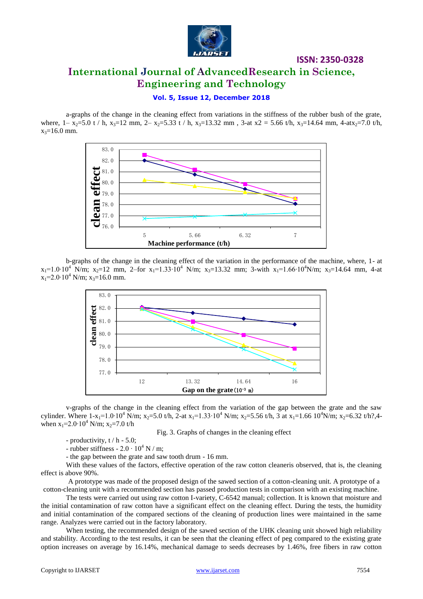

# **International Journal of AdvancedResearch in Science, Engineering and Technology**

**ISSN: 2350-0328**

## **Vol. 5, Issue 12, December 2018**

a-graphs of the change in the cleaning effect from variations in the stiffness of the rubber bush of the grate, where,  $1 - x_2 = 5.0$  t / h,  $x_3 = 12$  mm,  $2 - x_2 = 5.33$  t / h,  $x_3 = 13.32$  mm,  $3$ -at  $x_2 = 5.66$  t/h,  $x_3 = 14.64$  mm,  $4 - dx_2 = 7.0$  t/h,  $x_3 = 16.0$  mm.



b-graphs of the change in the cleaning effect of the variation in the performance of the machine, where, 1- at  $x_1=1.0 \cdot 10^4$  N/m;  $x_2=12$  mm, 2–for  $x_1=1.33 \cdot 10^4$  N/m;  $x_3=13.32$  mm; 3-with  $x_1=1.66 \cdot 10^4$ N/m;  $x_3=14.64$  mm, 4-at  $x_1=2.0 \cdot 10^4$  N/m;  $x_3=16.0$  mm.



v-graphs of the change in the cleaning effect from the variation of the gap between the grate and the saw cylinder. Where  $1-x_1=1.0 \cdot 10^4$  N/m;  $x_2=5.0$  t/h, 2-at  $x_1=1.33 \cdot 10^4$  N/m;  $x_2=5.56$  t/h, 3 at  $x_1=1.66$   $10^4$ N/m;  $x_2=6.32$  t/h?,4when  $x_1$ =2.0⋅10<sup>4</sup> N/m;  $x_2$ =7.0 t/h

Fig. 3. Graphs of changes in the cleaning effect

- productivity,  $t/h - 5.0$ ;

- rubber stiffness -  $2.0 \cdot 10^4$  N / m;

- the gap between the grate and saw tooth drum - 16 mm.

With these values of the factors, effective operation of the raw cotton cleaneris observed, that is, the cleaning effect is above 90%.

A prototype was made of the proposed design of the sawed section of a cotton-cleaning unit. A prototype of a cotton-cleaning unit with a recommended section has passed production tests in comparison with an existing machine.

The tests were carried out using raw cotton I-variety, C-6542 manual; collection. It is known that moisture and the initial contamination of raw cotton have a significant effect on the cleaning effect. During the tests, the humidity and initial contamination of the compared sections of the cleaning of production lines were maintained in the same range. Analyzes were carried out in the factory laboratory.

When testing, the recommended design of the sawed section of the UHK cleaning unit showed high reliability and stability. According to the test results, it can be seen that the cleaning effect of peg compared to the existing grate option increases on average by 16.14%, mechanical damage to seeds decreases by 1.46%, free fibers in raw cotton